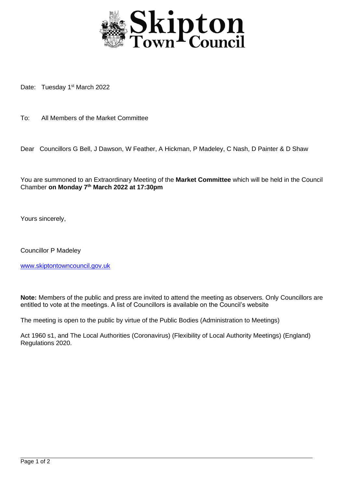

Date: Tuesday 1<sup>st</sup> March 2022

To: All Members of the Market Committee

Dear Councillors G Bell, J Dawson, W Feather, A Hickman, P Madeley, C Nash, D Painter & D Shaw

You are summoned to an Extraordinary Meeting of the **Market Committee** which will be held in the Council Chamber **on Monday 7th March 2022 at 17:30pm**

Yours sincerely,

Councillor P Madeley

[www.skiptontowncouncil.gov.uk](http://www.skiptontowncouncil.gov.uk/)

**Note:** Members of the public and press are invited to attend the meeting as observers. Only Councillors are entitled to vote at the meetings. A list of Councillors is available on the Council's website

The meeting is open to the public by virtue of the Public Bodies (Administration to Meetings)

Act 1960 s1, and The Local Authorities (Coronavirus) (Flexibility of Local Authority Meetings) (England) Regulations 2020.

j.